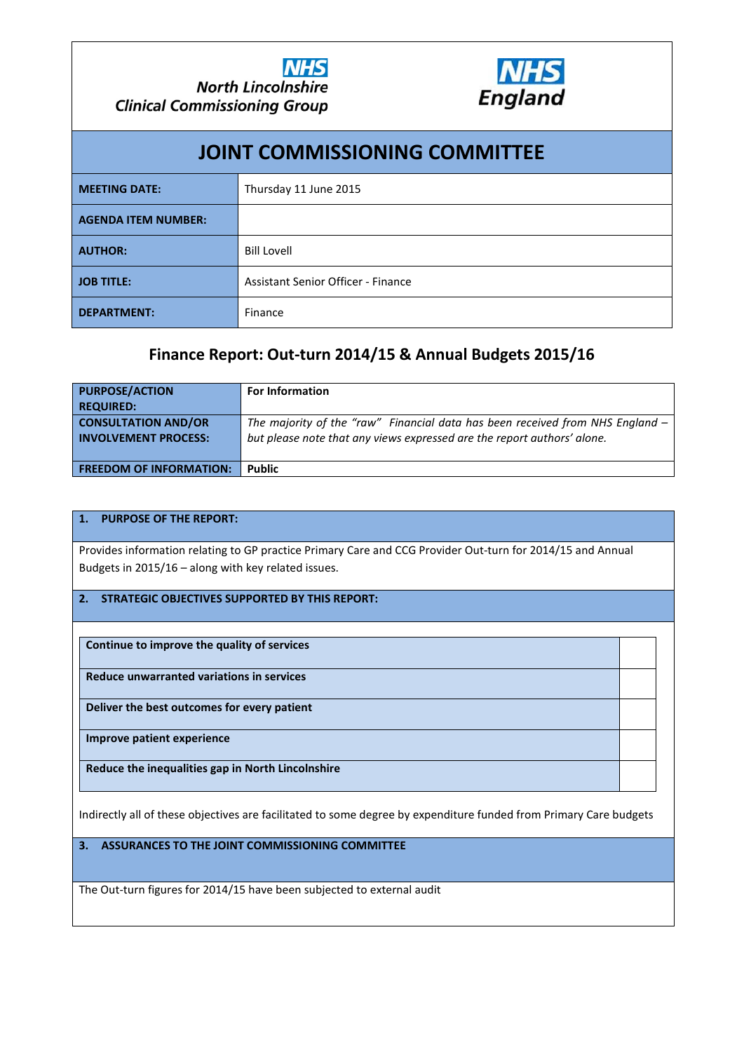## **PRIMARY CARE FINAL OUTTURN 2014/15 & ANNUAL BUDGETS 2015/16**

#### **1. INTRODUCTION**

This report details:

- The Out-turn for Primary Care in 2014/15.
- The Base Budgets for Primary Care in 2015/16
- Key points relating to Primary care budgets in 2015/16

All figure presented here are on a consolidated basis for Primary Care in North Lincolnshire (i.e. Expenditure on GP Practice related Primary care which has been supplied by the NHS England – Sub Region, and GP Provider expenditure on Local Enhanced Services (LES) which has been supplied by North Lincolnshire CCG).

# **2. INFORMATION FOR CONSIDERATION**

Attached at **Appendix 1** are details of all Primary Care actual expenditure in 2014/15 and budgeted expenditure for 2015/16, which has been summarised into the main funding source categories, by funding organisation. This information is the same information which has been made available to those CCG's which are operating under delegated co-commissioning powers.

The definition and key feature of each funding category are briefly set out in **Appendix 2,** which may assist with the Committee's understanding of the potential for funding flexibilities and cost pressures which may be available during 2015/16, and future financial years.

### **3. GENERAL CONTEXT**

When considering the information presented in **Appendices 1** and **2,** it is important to note:

• The main Practice related Primary Care Budgets held by NHS England – Sub Region have been based on 2014/15 Out-turn, uplifted plus adjustments for known contract changes.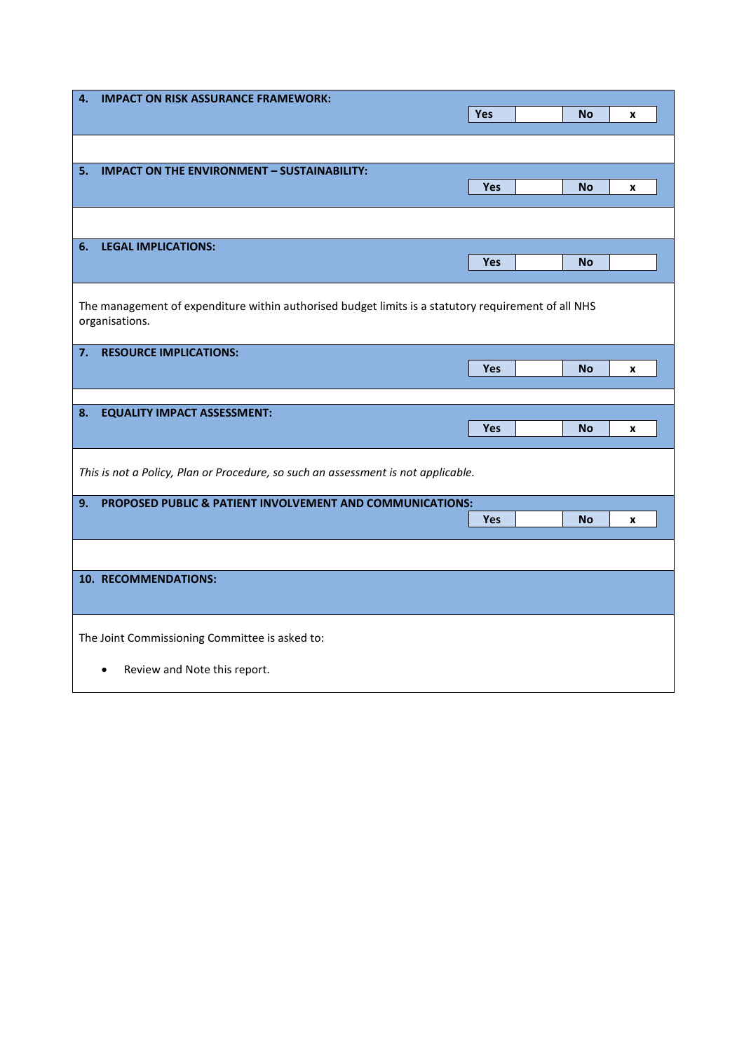- The main contract changes, from the previous financial year, with an immediate and direct financial significance are as follows:
	- For GMS practices a £2.21 or 3% increase (from £73.56 to £75.77) in the unit value applied to the contractor's weighted population. This is to provide core Essential and Additional services (including staffing) through their main Global Sum payment.
	- $-$  For PMS & APM practices a £1.66 increase in the unit value applied to their weighted population, to provide Essential & Additional services (including staffing) for their patients.
	- The Patient Participation and Alcohol Enhanced Services have ended though the funding has been "reinvested" into the Global Sum payments from 1/04/2015, This means practices are still obligated to have a Patient Participation Group (PPG) and to identify newly registered patients aged 16 or over who are drinking alcohol at increased or higher risk levels.
	- Those practices who still have "Correction Factor Payments" (CFP) under the "Minimum Practice Income Guarantee" (MPIG) which was introduced in 2004 but which is being phased out over a 7 year period starting in 2014/15, will see their CFP reduce by circa 14.29% in 2015/16.
	- A reduction of 15% in Seniority Payments for any practice which is still receiving them, pending their total abolition on 31 March 2020.

### **CURRENT RISKS / OPPORTUNITIES**

- The financial budgets (as held by both the NHS England Sub Region and CCG) are currently forecast to break-even in 2015/16.
- The 2014/15 Quality & Outcomes Framework (QOF) achievement payments for practices in 2014/15 are currently being signed off to be paid in June 2015, and will be charged back against the accruals for estimated 2014/15 achievement payments made by NHS England Sub Region at the end of 2014/15. Therefore, any under or over shoot against these estimates payments will be an opportunity or cost pressure against the 2015/16 budgets. However, please note that any financial implications which arise will remain the responsibility of the current funding organisation.
- The Elderly Care Fund LES is currently being held in Earmarked Reserves by the CCG but will be transferred to GP practices once the final scheme based allocation of these funds has been agreed.